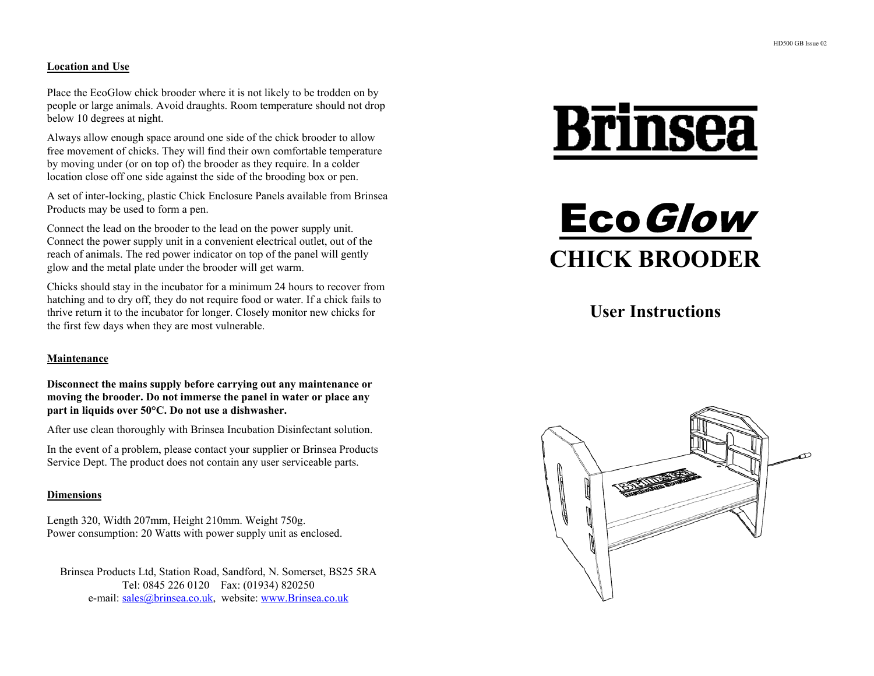# **Location and Use**

Place the EcoGlow chick brooder where it is not likely to be trodden on by people or large animals. Avoid draughts. Room temperature should not drop below 10 degrees at night.

Always allow enough space around one side of the chick brooder to allow free movement of chicks. They will find their own comfortable temperature by moving under (or on top of) the brooder as they require. In a colder location close off one side against the side of the brooding box or pen.

A set of inter-locking, plastic Chick Enclosure Panels available from Brinsea Products may be used to form a pen.

Connect the lead on the brooder to the lead on the power supply unit. Connect the power supply unit in a convenient electrical outlet, out of the reach of animals. The red power indicator on top of the panel will gently glow and the metal plate under the brooder will get warm.

Chicks should stay in the incubator for a minimum 24 hours to recover from hatching and to dry off, they do not require food or water. If a chick fails to thrive return it to the incubator for longer. Closely monitor new chicks for the first few days when they are most vulnerable.

# **Maintenance**

**Disconnect the mains supply before carrying out any maintenance or moving the brooder. Do not immerse the panel in water or place any part in liquids over 50°C. Do not use a dishwasher.** 

After use clean thoroughly with Brinsea Incubation Disinfectant solution.

In the event of a problem, please contact your supplier or Brinsea Products Service Dept. The product does not contain any user serviceable parts.

# **Dimensions**

Length 320, Width 207mm, Height 210mm. Weight 750g. Power consumption: 20 Watts with power supply unit as enclosed.

Brinsea Products Ltd, Station Road, Sandford, N. Somerset, BS25 5RA Tel: 0845 226 0120 Fax: (01934) 820250 e-mail: sales@brinsea.co.uk, website: www.Brinsea.co.uk

# **Brinsea**



**User Instructions**